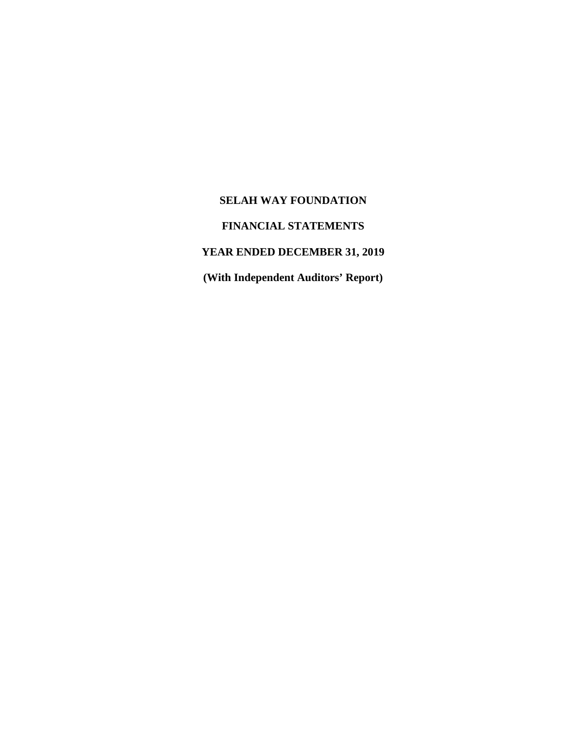### **FINANCIAL STATEMENTS**

# **YEAR ENDED DECEMBER 31, 2019**

**(With Independent Auditors' Report)**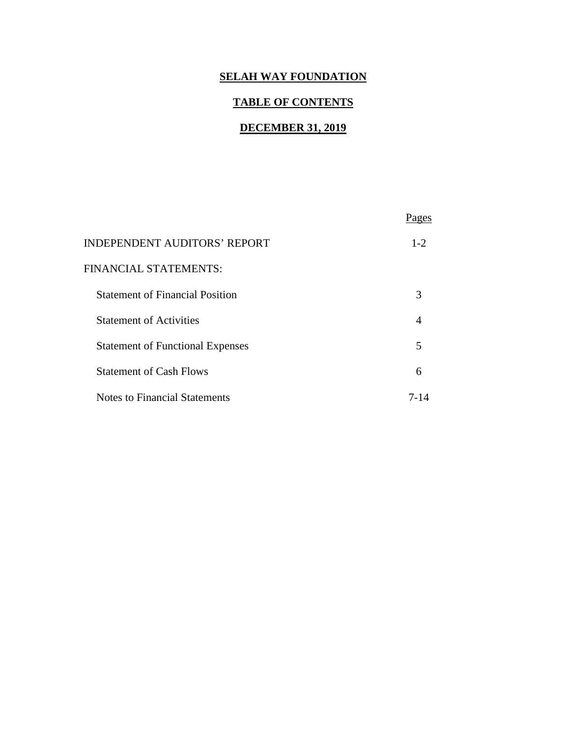### **TABLE OF CONTENTS**

### **DECEMBER 31, 2019**

| <b>INDEPENDENT AUDITORS' REPORT</b>     | $1-2$ |
|-----------------------------------------|-------|
| FINANCIAL STATEMENTS:                   |       |
| <b>Statement of Financial Position</b>  | 3     |
| <b>Statement of Activities</b>          |       |
| <b>Statement of Functional Expenses</b> | 5     |
| <b>Statement of Cash Flows</b>          | 6     |
| Notes to Financial Statements           | 7-14  |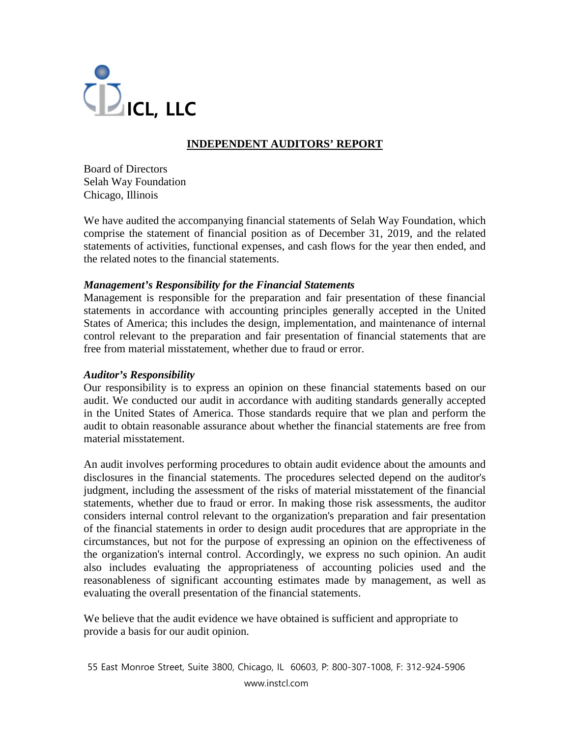

## **INDEPENDENT AUDITORS' REPORT**

Board of Directors Selah Way Foundation Chicago, Illinois

We have audited the accompanying financial statements of Selah Way Foundation, which comprise the statement of financial position as of December 31, 2019, and the related statements of activities, functional expenses, and cash flows for the year then ended, and the related notes to the financial statements.

#### *Management's Responsibility for the Financial Statements*

Management is responsible for the preparation and fair presentation of these financial statements in accordance with accounting principles generally accepted in the United States of America; this includes the design, implementation, and maintenance of internal control relevant to the preparation and fair presentation of financial statements that are free from material misstatement, whether due to fraud or error.

### *Auditor's Responsibility*

Our responsibility is to express an opinion on these financial statements based on our audit. We conducted our audit in accordance with auditing standards generally accepted in the United States of America. Those standards require that we plan and perform the audit to obtain reasonable assurance about whether the financial statements are free from material misstatement.

An audit involves performing procedures to obtain audit evidence about the amounts and disclosures in the financial statements. The procedures selected depend on the auditor's judgment, including the assessment of the risks of material misstatement of the financial statements, whether due to fraud or error. In making those risk assessments, the auditor considers internal control relevant to the organization's preparation and fair presentation of the financial statements in order to design audit procedures that are appropriate in the circumstances, but not for the purpose of expressing an opinion on the effectiveness of the organization's internal control. Accordingly, we express no such opinion. An audit also includes evaluating the appropriateness of accounting policies used and the reasonableness of significant accounting estimates made by management, as well as evaluating the overall presentation of the financial statements.

We believe that the audit evidence we have obtained is sufficient and appropriate to provide a basis for our audit opinion.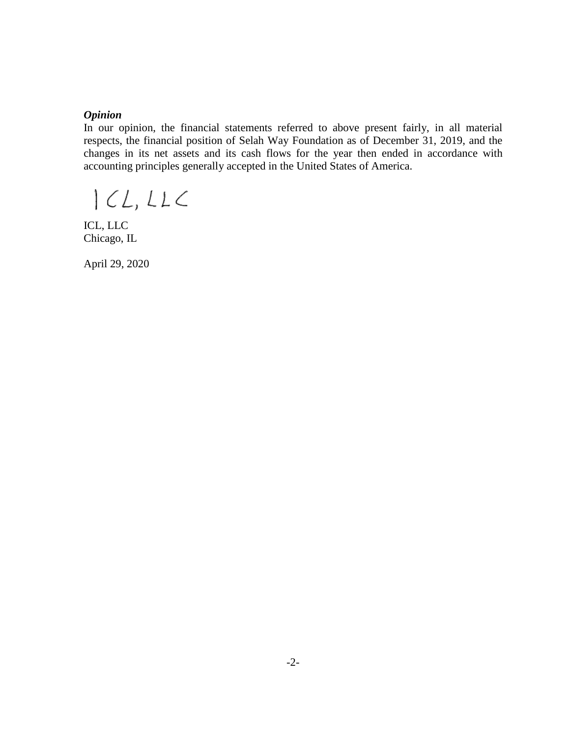#### *Opinion*

In our opinion, the financial statements referred to above present fairly, in all material respects, the financial position of Selah Way Foundation as of December 31, 2019, and the changes in its net assets and its cash flows for the year then ended in accordance with accounting principles generally accepted in the United States of America.

 $|CL,LLC$ 

ICL, LLC Chicago, IL

April 29, 2020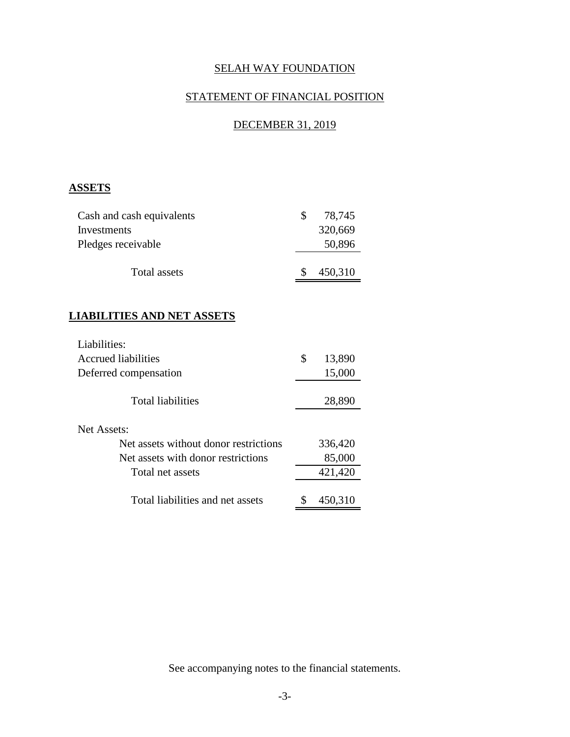# STATEMENT OF FINANCIAL POSITION

# DECEMBER 31, 2019

### **ASSETS**

| Cash and cash equivalents |    | 78,745  |
|---------------------------|----|---------|
| Investments               |    | 320,669 |
| Pledges receivable        |    | 50,896  |
| Total assets              | £. | 450,310 |

### **LIABILITIES AND NET ASSETS**

| Liabilities:                          |              |
|---------------------------------------|--------------|
| Accrued liabilities                   | \$<br>13,890 |
| Deferred compensation                 | 15,000       |
| <b>Total liabilities</b>              | 28,890       |
| Net Assets:                           |              |
| Net assets without donor restrictions | 336,420      |
| Net assets with donor restrictions    | 85,000       |
| Total net assets                      | 421,420      |
| Total liabilities and net assets      | 450,310      |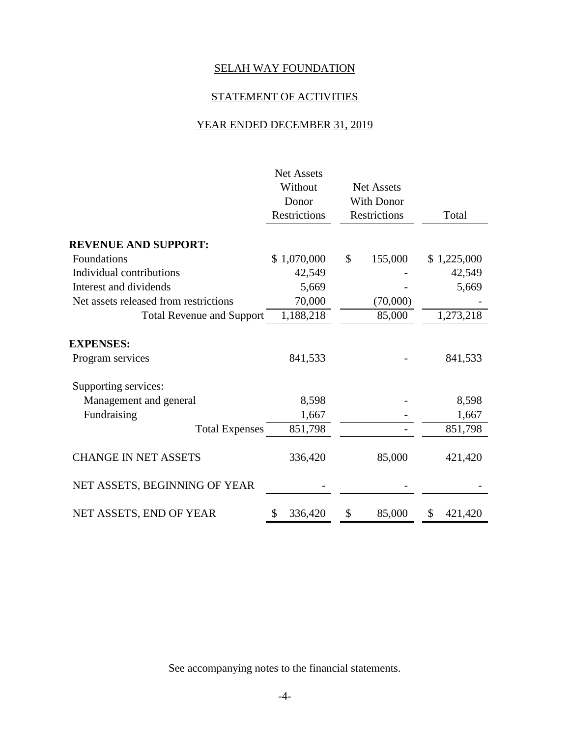# STATEMENT OF ACTIVITIES

# YEAR ENDED DECEMBER 31, 2019

|                                       | <b>Net Assets</b>   |                     |       |             |
|---------------------------------------|---------------------|---------------------|-------|-------------|
|                                       | Without             | <b>Net Assets</b>   |       |             |
|                                       | Donor               | <b>With Donor</b>   |       |             |
|                                       | <b>Restrictions</b> | <b>Restrictions</b> | Total |             |
| <b>REVENUE AND SUPPORT:</b>           |                     |                     |       |             |
| Foundations                           | \$1,070,000         | \$<br>155,000       |       | \$1,225,000 |
| Individual contributions              | 42,549              |                     |       | 42,549      |
| Interest and dividends                | 5,669               |                     |       | 5,669       |
| Net assets released from restrictions | 70,000              | (70,000)            |       |             |
| <b>Total Revenue and Support</b>      | 1,188,218           | 85,000              |       | 1,273,218   |
| <b>EXPENSES:</b><br>Program services  | 841,533             |                     |       | 841,533     |
| Supporting services:                  |                     |                     |       |             |
| Management and general                | 8,598               |                     |       | 8,598       |
| Fundraising                           | 1,667               |                     |       | 1,667       |
| <b>Total Expenses</b>                 | 851,798             |                     |       | 851,798     |
| <b>CHANGE IN NET ASSETS</b>           | 336,420             | 85,000              |       | 421,420     |
| NET ASSETS, BEGINNING OF YEAR         |                     |                     |       |             |
| NET ASSETS, END OF YEAR               | 336,420<br>\$       | \$<br>85,000        | \$    | 421,420     |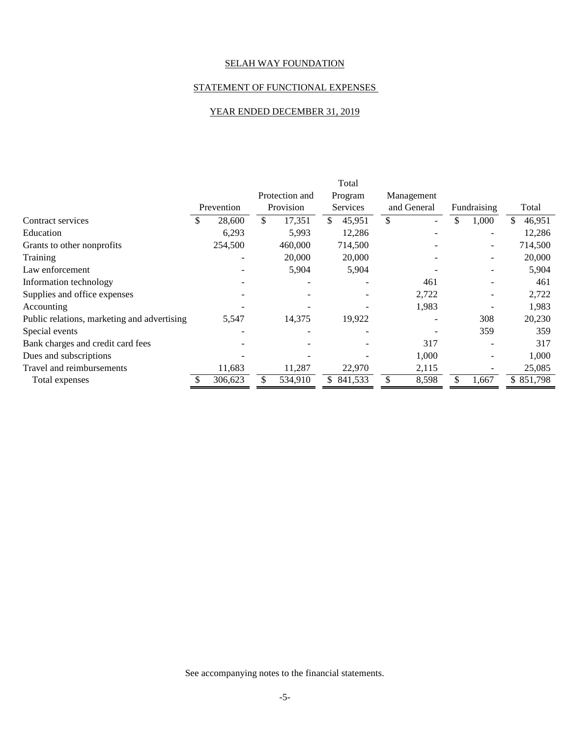#### STATEMENT OF FUNCTIONAL EXPENSES

#### YEAR ENDED DECEMBER 31, 2019

|                                             |   |            |                | Total                    |             |                          |              |
|---------------------------------------------|---|------------|----------------|--------------------------|-------------|--------------------------|--------------|
|                                             |   |            | Protection and | Program                  | Management  |                          |              |
|                                             |   | Prevention | Provision      | <b>Services</b>          | and General | Fundraising              | Total        |
| Contract services                           | S | 28,600     | \$<br>17,351   | \$<br>45,951             | \$          | \$<br>1,000              | \$<br>46,951 |
| Education                                   |   | 6,293      | 5,993          | 12,286                   |             | $\overline{\phantom{0}}$ | 12,286       |
| Grants to other nonprofits                  |   | 254,500    | 460,000        | 714,500                  |             | $\qquad \qquad -$        | 714,500      |
| Training                                    |   |            | 20,000         | 20,000                   |             |                          | 20,000       |
| Law enforcement                             |   |            | 5,904          | 5,904                    |             |                          | 5,904        |
| Information technology                      |   |            |                |                          | 461         |                          | 461          |
| Supplies and office expenses                |   |            |                |                          | 2,722       |                          | 2,722        |
| Accounting                                  |   |            |                |                          | 1,983       |                          | 1,983        |
| Public relations, marketing and advertising |   | 5,547      | 14,375         | 19,922                   |             | 308                      | 20,230       |
| Special events                              |   |            |                | $\overline{\phantom{0}}$ |             | 359                      | 359          |
| Bank charges and credit card fees           |   |            |                |                          | 317         |                          | 317          |
| Dues and subscriptions                      |   |            |                |                          | 1,000       |                          | 1,000        |
| Travel and reimbursements                   |   | 11,683     | 11,287         | 22,970                   | 2,115       |                          | 25,085       |
| Total expenses                              |   | 306,623    | 534,910        | \$841,533                | 8,598       | 1,667                    | \$851,798    |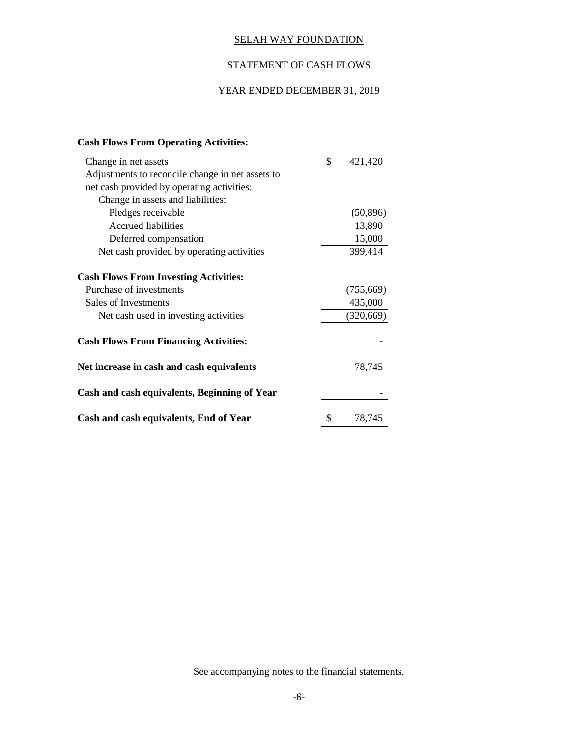#### STATEMENT OF CASH FLOWS

### YEAR ENDED DECEMBER 31, 2019

#### **Cash Flows From Operating Activities:**

| Change in net assets                             | \$<br>421,420 |
|--------------------------------------------------|---------------|
| Adjustments to reconcile change in net assets to |               |
| net cash provided by operating activities:       |               |
| Change in assets and liabilities:                |               |
| Pledges receivable                               | (50, 896)     |
| <b>Accrued liabilities</b>                       | 13,890        |
| Deferred compensation                            | 15,000        |
| Net cash provided by operating activities        | 399,414       |
| <b>Cash Flows From Investing Activities:</b>     |               |
| Purchase of investments                          | (755,669)     |
| Sales of Investments                             | 435,000       |
| Net cash used in investing activities            | (320, 669)    |
| <b>Cash Flows From Financing Activities:</b>     |               |
| Net increase in cash and cash equivalents        | 78,745        |
| Cash and cash equivalents, Beginning of Year     |               |
| Cash and cash equivalents, End of Year           | \$<br>78,745  |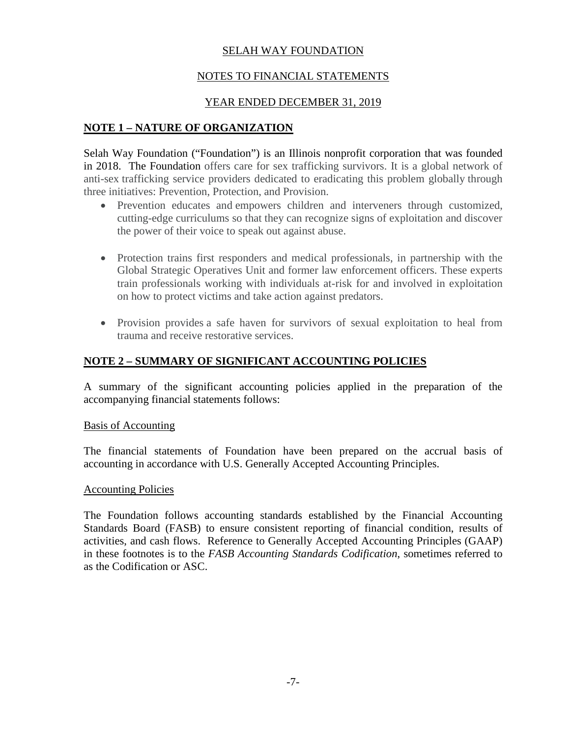### NOTES TO FINANCIAL STATEMENTS

### YEAR ENDED DECEMBER 31, 2019

### **NOTE 1 – NATURE OF ORGANIZATION**

Selah Way Foundation ("Foundation") is an Illinois nonprofit corporation that was founded in 2018. The Foundation offers care for sex trafficking survivors. It is a global network of anti-sex trafficking service providers dedicated to eradicating this problem globally through three initiatives: Prevention, Protection, and Provision.

- Prevention educates and empowers children and interveners through customized, cutting-edge curriculums so that they can recognize signs of exploitation and discover the power of their voice to speak out against abuse.
- Protection trains first responders and medical professionals, in partnership with the Global Strategic Operatives Unit and former law enforcement officers. These experts train professionals working with individuals at-risk for and involved in exploitation on how to protect victims and take action against predators.
- Provision provides a safe haven for survivors of sexual exploitation to heal from trauma and receive restorative services.

### **NOTE 2 – SUMMARY OF SIGNIFICANT ACCOUNTING POLICIES**

A summary of the significant accounting policies applied in the preparation of the accompanying financial statements follows:

#### Basis of Accounting

The financial statements of Foundation have been prepared on the accrual basis of accounting in accordance with U.S. Generally Accepted Accounting Principles.

#### Accounting Policies

The Foundation follows accounting standards established by the Financial Accounting Standards Board (FASB) to ensure consistent reporting of financial condition, results of activities, and cash flows. Reference to Generally Accepted Accounting Principles (GAAP) in these footnotes is to the *FASB Accounting Standards Codification*, sometimes referred to as the Codification or ASC.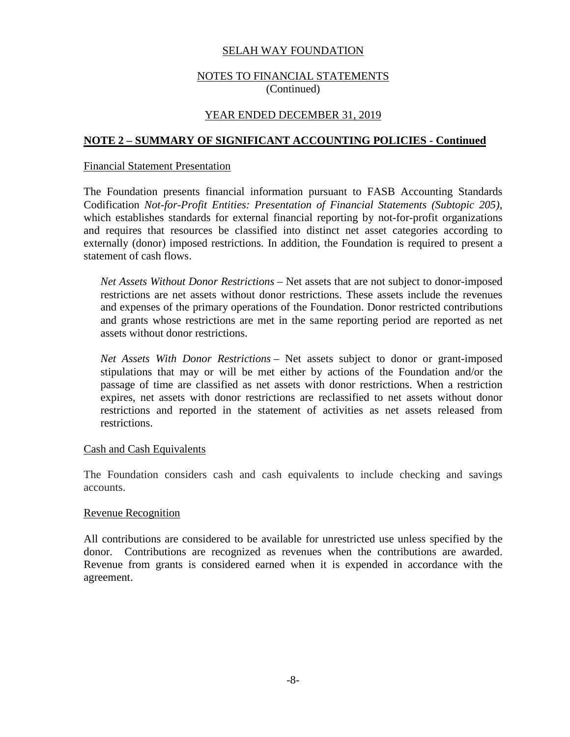#### NOTES TO FINANCIAL STATEMENTS (Continued)

#### YEAR ENDED DECEMBER 31, 2019

#### **NOTE 2 – SUMMARY OF SIGNIFICANT ACCOUNTING POLICIES - Continued**

#### Financial Statement Presentation

The Foundation presents financial information pursuant to FASB Accounting Standards Codification *Not-for-Profit Entities: Presentation of Financial Statements (Subtopic 205),* which establishes standards for external financial reporting by not-for-profit organizations and requires that resources be classified into distinct net asset categories according to externally (donor) imposed restrictions. In addition, the Foundation is required to present a statement of cash flows.

*Net Assets Without Donor Restrictions* – Net assets that are not subject to donor-imposed restrictions are net assets without donor restrictions. These assets include the revenues and expenses of the primary operations of the Foundation. Donor restricted contributions and grants whose restrictions are met in the same reporting period are reported as net assets without donor restrictions.

*Net Assets With Donor Restrictions* – Net assets subject to donor or grant-imposed stipulations that may or will be met either by actions of the Foundation and/or the passage of time are classified as net assets with donor restrictions. When a restriction expires, net assets with donor restrictions are reclassified to net assets without donor restrictions and reported in the statement of activities as net assets released from restrictions.

#### Cash and Cash Equivalents

The Foundation considers cash and cash equivalents to include checking and savings accounts.

#### Revenue Recognition

All contributions are considered to be available for unrestricted use unless specified by the donor. Contributions are recognized as revenues when the contributions are awarded. Revenue from grants is considered earned when it is expended in accordance with the agreement.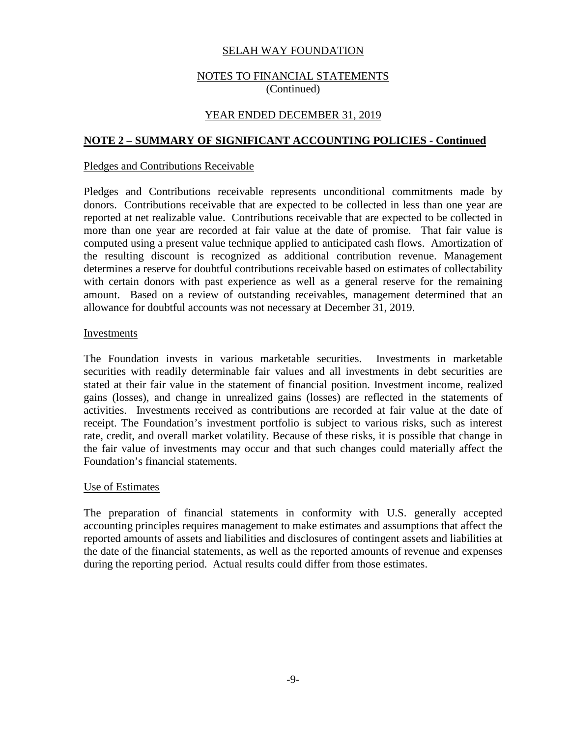#### NOTES TO FINANCIAL STATEMENTS (Continued)

#### YEAR ENDED DECEMBER 31, 2019

### **NOTE 2 – SUMMARY OF SIGNIFICANT ACCOUNTING POLICIES - Continued**

#### Pledges and Contributions Receivable

Pledges and Contributions receivable represents unconditional commitments made by donors. Contributions receivable that are expected to be collected in less than one year are reported at net realizable value. Contributions receivable that are expected to be collected in more than one year are recorded at fair value at the date of promise. That fair value is computed using a present value technique applied to anticipated cash flows. Amortization of the resulting discount is recognized as additional contribution revenue. Management determines a reserve for doubtful contributions receivable based on estimates of collectability with certain donors with past experience as well as a general reserve for the remaining amount. Based on a review of outstanding receivables, management determined that an allowance for doubtful accounts was not necessary at December 31, 2019.

#### Investments

The Foundation invests in various marketable securities. Investments in marketable securities with readily determinable fair values and all investments in debt securities are stated at their fair value in the statement of financial position. Investment income, realized gains (losses), and change in unrealized gains (losses) are reflected in the statements of activities. Investments received as contributions are recorded at fair value at the date of receipt. The Foundation's investment portfolio is subject to various risks, such as interest rate, credit, and overall market volatility. Because of these risks, it is possible that change in the fair value of investments may occur and that such changes could materially affect the Foundation's financial statements.

#### Use of Estimates

The preparation of financial statements in conformity with U.S. generally accepted accounting principles requires management to make estimates and assumptions that affect the reported amounts of assets and liabilities and disclosures of contingent assets and liabilities at the date of the financial statements, as well as the reported amounts of revenue and expenses during the reporting period. Actual results could differ from those estimates.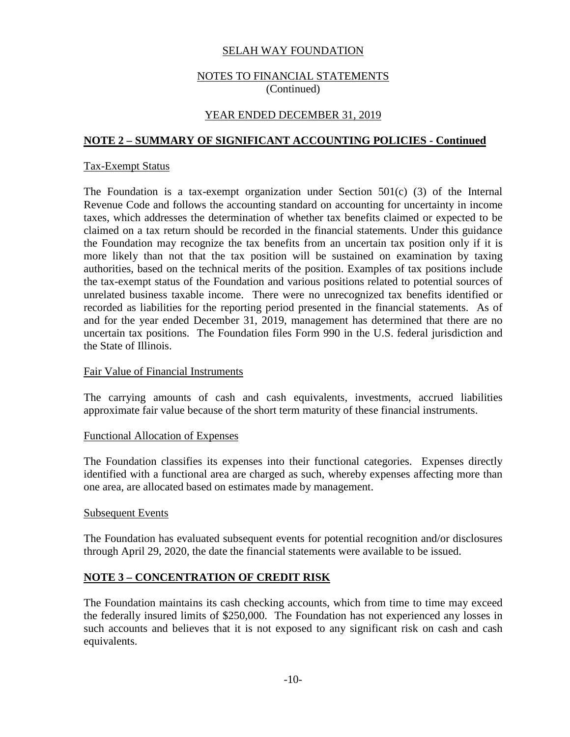#### NOTES TO FINANCIAL STATEMENTS (Continued)

### YEAR ENDED DECEMBER 31, 2019

#### **NOTE 2 – SUMMARY OF SIGNIFICANT ACCOUNTING POLICIES - Continued**

#### Tax-Exempt Status

The Foundation is a tax-exempt organization under Section 501(c) (3) of the Internal Revenue Code and follows the accounting standard on accounting for uncertainty in income taxes, which addresses the determination of whether tax benefits claimed or expected to be claimed on a tax return should be recorded in the financial statements. Under this guidance the Foundation may recognize the tax benefits from an uncertain tax position only if it is more likely than not that the tax position will be sustained on examination by taxing authorities, based on the technical merits of the position. Examples of tax positions include the tax-exempt status of the Foundation and various positions related to potential sources of unrelated business taxable income. There were no unrecognized tax benefits identified or recorded as liabilities for the reporting period presented in the financial statements. As of and for the year ended December 31, 2019, management has determined that there are no uncertain tax positions. The Foundation files Form 990 in the U.S. federal jurisdiction and the State of Illinois.

#### Fair Value of Financial Instruments

The carrying amounts of cash and cash equivalents, investments, accrued liabilities approximate fair value because of the short term maturity of these financial instruments.

#### Functional Allocation of Expenses

The Foundation classifies its expenses into their functional categories. Expenses directly identified with a functional area are charged as such, whereby expenses affecting more than one area, are allocated based on estimates made by management.

#### Subsequent Events

The Foundation has evaluated subsequent events for potential recognition and/or disclosures through April 29, 2020, the date the financial statements were available to be issued.

#### **NOTE 3 – CONCENTRATION OF CREDIT RISK**

The Foundation maintains its cash checking accounts, which from time to time may exceed the federally insured limits of \$250,000. The Foundation has not experienced any losses in such accounts and believes that it is not exposed to any significant risk on cash and cash equivalents.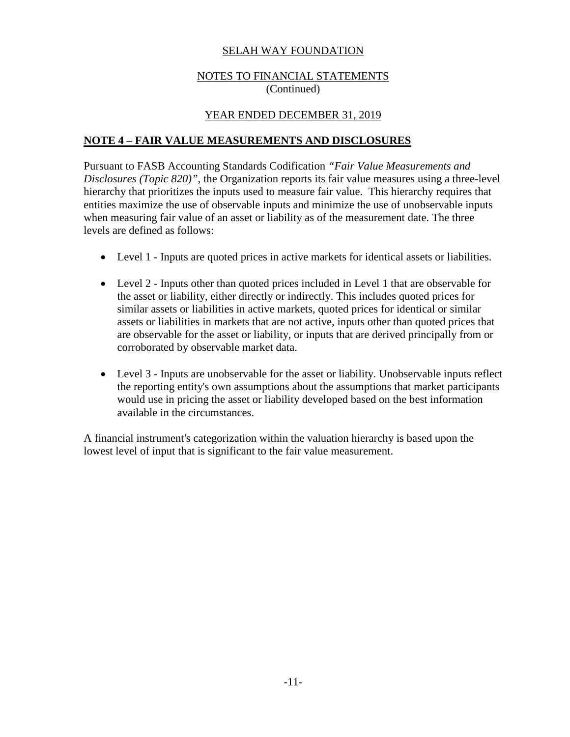### NOTES TO FINANCIAL STATEMENTS (Continued)

### YEAR ENDED DECEMBER 31, 2019

### **NOTE 4 – FAIR VALUE MEASUREMENTS AND DISCLOSURES**

Pursuant to FASB Accounting Standards Codification *"Fair Value Measurements and Disclosures (Topic 820)"*, the Organization reports its fair value measures using a three-level hierarchy that prioritizes the inputs used to measure fair value. This hierarchy requires that entities maximize the use of observable inputs and minimize the use of unobservable inputs when measuring fair value of an asset or liability as of the measurement date. The three levels are defined as follows:

- Level 1 Inputs are quoted prices in active markets for identical assets or liabilities.
- Level 2 Inputs other than quoted prices included in Level 1 that are observable for the asset or liability, either directly or indirectly. This includes quoted prices for similar assets or liabilities in active markets, quoted prices for identical or similar assets or liabilities in markets that are not active, inputs other than quoted prices that are observable for the asset or liability, or inputs that are derived principally from or corroborated by observable market data.
- Level 3 Inputs are unobservable for the asset or liability. Unobservable inputs reflect the reporting entity's own assumptions about the assumptions that market participants would use in pricing the asset or liability developed based on the best information available in the circumstances.

A financial instrument's categorization within the valuation hierarchy is based upon the lowest level of input that is significant to the fair value measurement.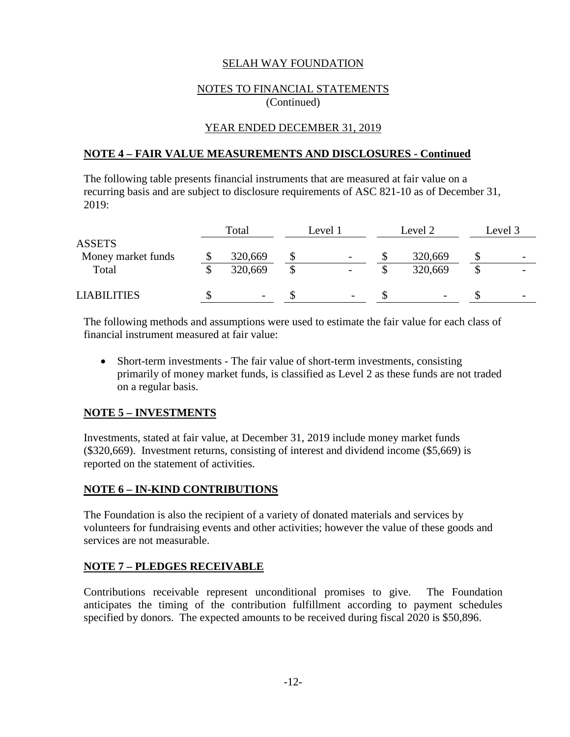#### NOTES TO FINANCIAL STATEMENTS (Continued)

### YEAR ENDED DECEMBER 31, 2019

#### **NOTE 4 – FAIR VALUE MEASUREMENTS AND DISCLOSURES - Continued**

The following table presents financial instruments that are measured at fair value on a recurring basis and are subject to disclosure requirements of ASC 821-10 as of December 31, 2019:

|                    | Total                    | Level 1                      | Level 2 |         | Level 3                  |
|--------------------|--------------------------|------------------------------|---------|---------|--------------------------|
| <b>ASSETS</b>      |                          |                              |         |         |                          |
| Money market funds | 320,669                  |                              |         | 320,669 | -                        |
| Total              | 320,669                  |                              |         | 320,669 | $\overline{\phantom{a}}$ |
| <b>LIABILITIES</b> | $\overline{\phantom{a}}$ | $\qquad \qquad \blacksquare$ |         |         | $\overline{\phantom{a}}$ |

The following methods and assumptions were used to estimate the fair value for each class of financial instrument measured at fair value:

• Short-term investments - The fair value of short-term investments, consisting primarily of money market funds, is classified as Level 2 as these funds are not traded on a regular basis.

### **NOTE 5 – INVESTMENTS**

Investments, stated at fair value, at December 31, 2019 include money market funds (\$320,669). Investment returns, consisting of interest and dividend income (\$5,669) is reported on the statement of activities.

### **NOTE 6 – IN-KIND CONTRIBUTIONS**

The Foundation is also the recipient of a variety of donated materials and services by volunteers for fundraising events and other activities; however the value of these goods and services are not measurable.

### **NOTE 7 – PLEDGES RECEIVABLE**

Contributions receivable represent unconditional promises to give. The Foundation anticipates the timing of the contribution fulfillment according to payment schedules specified by donors. The expected amounts to be received during fiscal 2020 is \$50,896.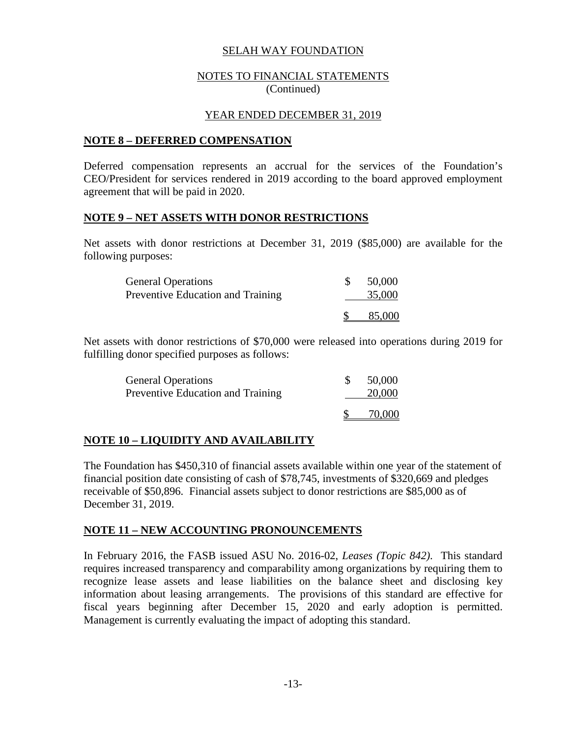#### NOTES TO FINANCIAL STATEMENTS (Continued)

#### YEAR ENDED DECEMBER 31, 2019

#### **NOTE 8 – DEFERRED COMPENSATION**

Deferred compensation represents an accrual for the services of the Foundation's CEO/President for services rendered in 2019 according to the board approved employment agreement that will be paid in 2020.

#### **NOTE 9 – NET ASSETS WITH DONOR RESTRICTIONS**

Net assets with donor restrictions at December 31, 2019 (\$85,000) are available for the following purposes:

| <b>General Operations</b><br><b>Preventive Education and Training</b> | 50,000<br>35,000 |
|-----------------------------------------------------------------------|------------------|
|                                                                       | 85,000           |

Net assets with donor restrictions of \$70,000 were released into operations during 2019 for fulfilling donor specified purposes as follows:

| <b>General Operations</b><br>Preventive Education and Training | 50,000<br>20,000 |
|----------------------------------------------------------------|------------------|
|                                                                | 70,000           |

### **NOTE 10 – LIQUIDITY AND AVAILABILITY**

The Foundation has \$450,310 of financial assets available within one year of the statement of financial position date consisting of cash of \$78,745, investments of \$320,669 and pledges receivable of \$50,896. Financial assets subject to donor restrictions are \$85,000 as of December 31, 2019.

#### **NOTE 11 – NEW ACCOUNTING PRONOUNCEMENTS**

In February 2016, the FASB issued ASU No. 2016-02, *Leases (Topic 842)*. This standard requires increased transparency and comparability among organizations by requiring them to recognize lease assets and lease liabilities on the balance sheet and disclosing key information about leasing arrangements. The provisions of this standard are effective for fiscal years beginning after December 15, 2020 and early adoption is permitted. Management is currently evaluating the impact of adopting this standard.